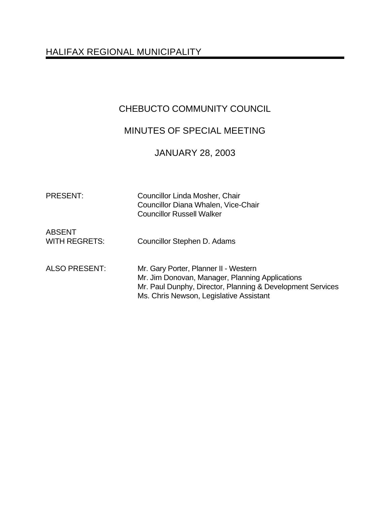## HALIFAX REGIONAL MUNICIPALITY

### CHEBUCTO COMMUNITY COUNCIL

## MINUTES OF SPECIAL MEETING

# JANUARY 28, 2003

| <b>PRESENT:</b>                       | Councillor Linda Mosher, Chair<br>Councillor Diana Whalen, Vice-Chair<br><b>Councillor Russell Walker</b>                                                                                         |
|---------------------------------------|---------------------------------------------------------------------------------------------------------------------------------------------------------------------------------------------------|
| <b>ABSENT</b><br><b>WITH REGRETS:</b> | Councillor Stephen D. Adams                                                                                                                                                                       |
| <b>ALSO PRESENT:</b>                  | Mr. Gary Porter, Planner II - Western<br>Mr. Jim Donovan, Manager, Planning Applications<br>Mr. Paul Dunphy, Director, Planning & Development Services<br>Ms. Chris Newson, Legislative Assistant |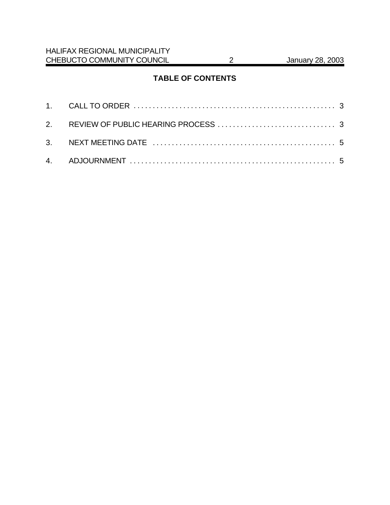### **TABLE OF CONTENTS**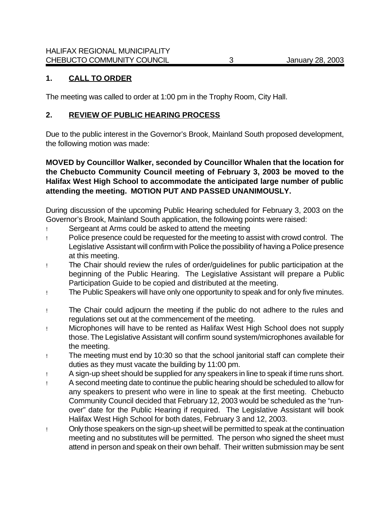#### **1. CALL TO ORDER**

The meeting was called to order at 1:00 pm in the Trophy Room, City Hall.

#### **2. REVIEW OF PUBLIC HEARING PROCESS**

Due to the public interest in the Governor's Brook, Mainland South proposed development, the following motion was made:

#### **MOVED by Councillor Walker, seconded by Councillor Whalen that the location for the Chebucto Community Council meeting of February 3, 2003 be moved to the Halifax West High School to accommodate the anticipated large number of public attending the meeting. MOTION PUT AND PASSED UNANIMOUSLY.**

During discussion of the upcoming Public Hearing scheduled for February 3, 2003 on the Governor's Brook, Mainland South application, the following points were raised:

- ! Sergeant at Arms could be asked to attend the meeting
- ! Police presence could be requested for the meeting to assist with crowd control. The Legislative Assistant will confirm with Police the possibility of having a Police presence at this meeting.
- ! The Chair should review the rules of order/guidelines for public participation at the beginning of the Public Hearing. The Legislative Assistant will prepare a Public Participation Guide to be copied and distributed at the meeting.
- ! The Public Speakers will have only one opportunity to speak and for only five minutes.
- ! The Chair could adjourn the meeting if the public do not adhere to the rules and regulations set out at the commencement of the meeting.
- ! Microphones will have to be rented as Halifax West High School does not supply those. The Legislative Assistant will confirm sound system/microphones available for the meeting.
- ! The meeting must end by 10:30 so that the school janitorial staff can complete their duties as they must vacate the building by 11:00 pm.
- ! A sign-up sheet should be supplied for any speakers in line to speak if time runs short.
- ! A second meeting date to continue the public hearing should be scheduled to allow for any speakers to present who were in line to speak at the first meeting. Chebucto Community Council decided that February 12, 2003 would be scheduled as the "runover" date for the Public Hearing if required. The Legislative Assistant will book Halifax West High School for both dates, February 3 and 12, 2003.
- ! Only those speakers on the sign-up sheet will be permitted to speak at the continuation meeting and no substitutes will be permitted. The person who signed the sheet must attend in person and speak on their own behalf. Their written submission may be sent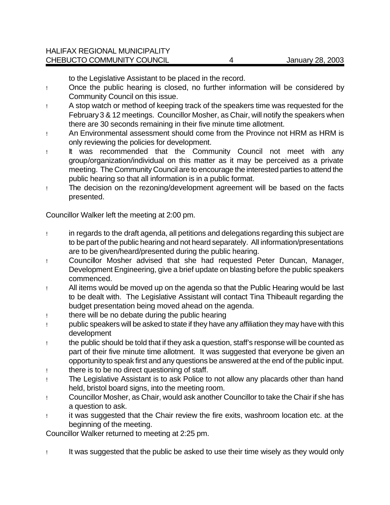to the Legislative Assistant to be placed in the record.

- ! Once the public hearing is closed, no further information will be considered by Community Council on this issue.
- ! A stop watch or method of keeping track of the speakers time was requested for the February 3 & 12 meetings. Councillor Mosher, as Chair, will notify the speakers when there are 30 seconds remaining in their five minute time allotment.
- ! An Environmental assessment should come from the Province not HRM as HRM is only reviewing the policies for development.
- ! It was recommended that the Community Council not meet with any group/organization/individual on this matter as it may be perceived as a private meeting. The Community Council are to encourage the interested parties to attend the public hearing so that all information is in a public format.
- ! The decision on the rezoning/development agreement will be based on the facts presented.

Councillor Walker left the meeting at 2:00 pm.

- ! in regards to the draft agenda, all petitions and delegations regarding this subject are to be part of the public hearing and not heard separately. All information/presentations are to be given/heard/presented during the public hearing.
- ! Councillor Mosher advised that she had requested Peter Duncan, Manager, Development Engineering, give a brief update on blasting before the public speakers commenced.
- ! All items would be moved up on the agenda so that the Public Hearing would be last to be dealt with. The Legislative Assistant will contact Tina Thibeault regarding the budget presentation being moved ahead on the agenda.
- ! there will be no debate during the public hearing
- ! public speakers will be asked to state if they have any affiliation they may have with this development
- ! the public should be told that if they ask a question, staff's response will be counted as part of their five minute time allotment. It was suggested that everyone be given an opportunity to speak first and any questions be answered at the end of the public input.
- ! there is to be no direct questioning of staff.
- ! The Legislative Assistant is to ask Police to not allow any placards other than hand held, bristol board signs, into the meeting room.
- ! Councillor Mosher, as Chair, would ask another Councillor to take the Chair if she has a question to ask.
- ! it was suggested that the Chair review the fire exits, washroom location etc. at the beginning of the meeting.

Councillor Walker returned to meeting at 2:25 pm.

! It was suggested that the public be asked to use their time wisely as they would only